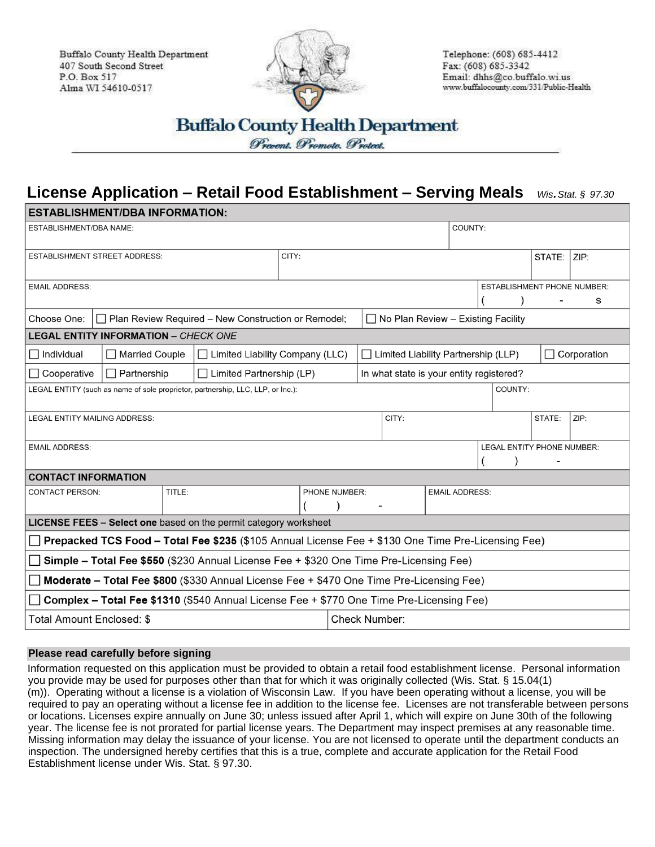Buffalo County Health Department 407 South Second Street P.O. Box 517 Alma WI 54610-0517



Telephone: (608) 685-4412 Fax: (608) 685-3342 Email: dhhs@co.buffalo.wi.us www.buffalocounty.com/331/Public-Health

## **License Application – Retail Food Establishment – Serving Meals** *Wis.Stat. § 97.30*

| ESTABLISHMENT/DBA INFORMATION:                                                                     |                                                            |        |  |               |  |                                            |  |                       |  |      |        |                                         |      |  |
|----------------------------------------------------------------------------------------------------|------------------------------------------------------------|--------|--|---------------|--|--------------------------------------------|--|-----------------------|--|------|--------|-----------------------------------------|------|--|
| <b>ESTABLISHMENT/DBA NAME:</b>                                                                     |                                                            |        |  |               |  | COUNTY:                                    |  |                       |  |      |        |                                         |      |  |
| <b>ESTABLISHMENT STREET ADDRESS:</b>                                                               | CITY:                                                      |        |  |               |  |                                            |  |                       |  | ZIP: |        |                                         |      |  |
| <b>EMAIL ADDRESS:</b>                                                                              |                                                            |        |  |               |  |                                            |  |                       |  |      |        | <b>ESTABLISHMENT PHONE NUMBER:</b><br>s |      |  |
| Choose One:                                                                                        | $\Box$ Plan Review Required – New Construction or Remodel; |        |  |               |  | $\Box$ No Plan Review - Existing Facility  |  |                       |  |      |        |                                         |      |  |
| <b>LEGAL ENTITY INFORMATION - CHECK ONE</b>                                                        |                                                            |        |  |               |  |                                            |  |                       |  |      |        |                                         |      |  |
| $\Box$ Individual                                                                                  | □ Married Couple<br>$\Box$ Limited Liability Company (LLC) |        |  |               |  | $\Box$ Limited Liability Partnership (LLP) |  |                       |  |      |        | □ Corporation                           |      |  |
| $\Box$ Partnership<br>$\Box$ Cooperative<br>$\Box$ Limited Partnership (LP)                        |                                                            |        |  |               |  | In what state is your entity registered?   |  |                       |  |      |        |                                         |      |  |
| COUNTY:<br>LEGAL ENTITY (such as name of sole proprietor, partnership, LLC, LLP, or Inc.):         |                                                            |        |  |               |  |                                            |  |                       |  |      |        |                                         |      |  |
| <b>LEGAL ENTITY MAILING ADDRESS:</b>                                                               |                                                            |        |  |               |  | CITY:                                      |  |                       |  |      | STATE: |                                         | ZIP: |  |
| <b>EMAIL ADDRESS:</b>                                                                              |                                                            |        |  |               |  |                                            |  |                       |  |      |        | LEGAL ENTITY PHONE NUMBER:              |      |  |
| <b>CONTACT INFORMATION</b>                                                                         |                                                            |        |  |               |  |                                            |  |                       |  |      |        |                                         |      |  |
| <b>CONTACT PERSON:</b>                                                                             |                                                            | TITLE: |  | PHONE NUMBER: |  |                                            |  | <b>EMAIL ADDRESS:</b> |  |      |        |                                         |      |  |
| LICENSE FEES - Select one based on the permit category worksheet                                   |                                                            |        |  |               |  |                                            |  |                       |  |      |        |                                         |      |  |
| Prepacked TCS Food - Total Fee \$235 (\$105 Annual License Fee + \$130 One Time Pre-Licensing Fee) |                                                            |        |  |               |  |                                            |  |                       |  |      |        |                                         |      |  |
| Simple - Total Fee \$550 (\$230 Annual License Fee + \$320 One Time Pre-Licensing Fee)             |                                                            |        |  |               |  |                                            |  |                       |  |      |        |                                         |      |  |
| Moderate - Total Fee \$800 (\$330 Annual License Fee + \$470 One Time Pre-Licensing Fee)           |                                                            |        |  |               |  |                                            |  |                       |  |      |        |                                         |      |  |
| Complex - Total Fee \$1310 (\$540 Annual License Fee + \$770 One Time Pre-Licensing Fee)           |                                                            |        |  |               |  |                                            |  |                       |  |      |        |                                         |      |  |
| Total Amount Enclosed: \$                                                                          |                                                            |        |  |               |  | <b>Check Number:</b>                       |  |                       |  |      |        |                                         |      |  |

## **Please read carefully before signing**

Information requested on this application must be provided to obtain a retail food establishment license. Personal information you provide may be used for purposes other than that for which it was originally collected (Wis. Stat. § 15.04(1) (m)). Operating without a license is a violation of Wisconsin Law. If you have been operating without a license, you will be required to pay an operating without a license fee in addition to the license fee. Licenses are not transferable between persons or locations. Licenses expire annually on June 30; unless issued after April 1, which will expire on June 30th of the following year. The license fee is not prorated for partial license years. The Department may inspect premises at any reasonable time. Missing information may delay the issuance of your license. You are not licensed to operate until the department conducts an inspection. The undersigned hereby certifies that this is a true, complete and accurate application for the Retail Food Establishment license under Wis. Stat. § 97.30.